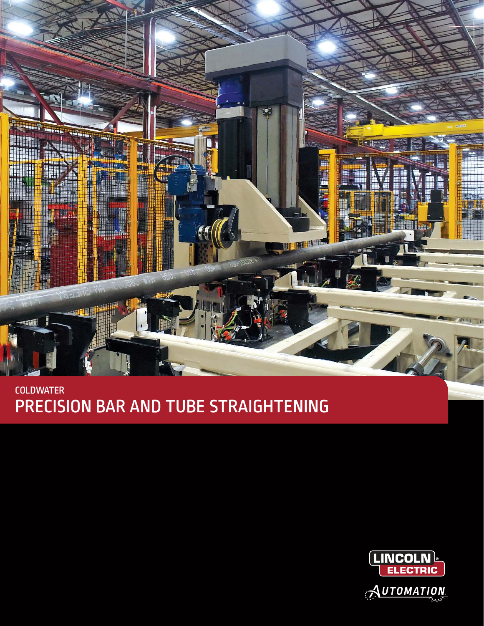

## **COLDWATER** PRECISION BAR AND TUBE STRAIGHTENING

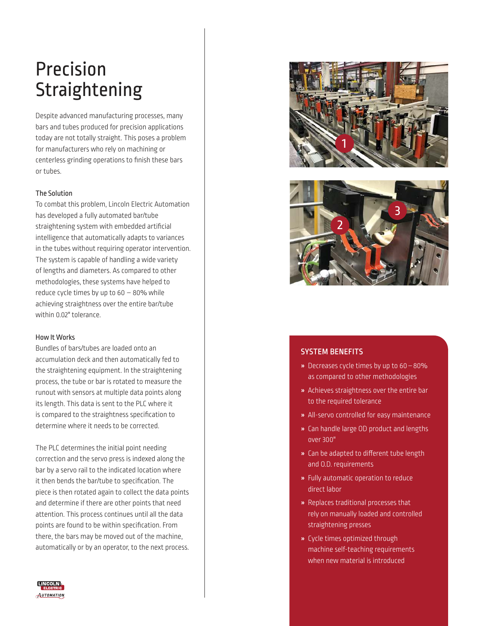# Precision Straightening

Despite advanced manufacturing processes, many bars and tubes produced for precision applications today are not totally straight. This poses a problem for manufacturers who rely on machining or centerless grinding operations to finish these bars or tubes.

#### The Solution

To combat this problem, Lincoln Electric Automation has developed a fully automated bar/tube straightening system with embedded artificial intelligence that automatically adapts to variances in the tubes without requiring operator intervention. The system is capable of handling a wide variety of lengths and diameters. As compared to other methodologies, these systems have helped to reduce cycle times by up to  $60 - 80\%$  while achieving straightness over the entire bar/tube within 0.02" tolerance.

#### How It Works

Bundles of bars/tubes are loaded onto an accumulation deck and then automatically fed to the straightening equipment. In the straightening process, the tube or bar is rotated to measure the runout with sensors at multiple data points along its length. This data is sent to the PLC where it is compared to the straightness specification to determine where it needs to be corrected.

The PLC determines the initial point needing correction and the servo press is indexed along the bar by a servo rail to the indicated location where it then bends the bar/tube to specification. The piece is then rotated again to collect the data points and determine if there are other points that need attention. This process continues until all the data points are found to be within specification. From there, the bars may be moved out of the machine, automatically or by an operator, to the next process.





### SYSTEM BENEFITS

- » Decreases cycle times by up to 60 80% as compared to other methodologies
- » Achieves straightness over the entire bar to the required tolerance
- » All-servo controlled for easy maintenance
- » Can handle large OD product and lengths over 300"
- » Can be adapted to different tube length and O.D. requirements
- » Fully automatic operation to reduce direct labor
- » Replaces traditional processes that rely on manually loaded and controlled straightening presses
- » Cycle times optimized through machine self-teaching requirements when new material is introduced

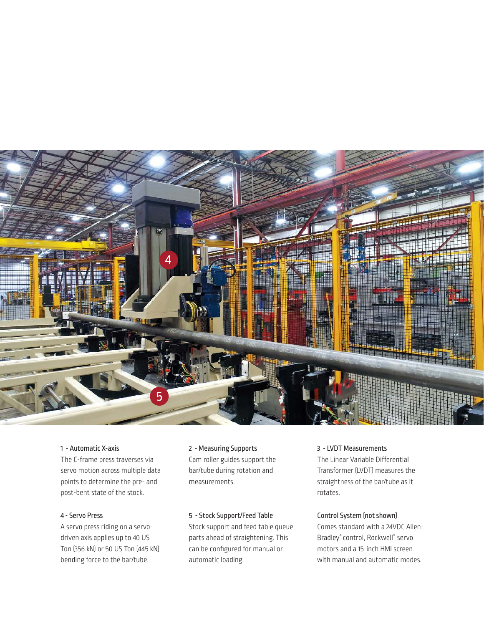

#### 1 - Automatic X-axis

The C-frame press traverses via servo motion across multiple data points to determine the pre- and post-bent state of the stock.

#### 4 - Servo Press

A servo press riding on a servodriven axis applies up to 40 US Ton (356 kN) or 50 US Ton (445 kN) bending force to the bar/tube.

#### 2 - Measuring Supports

Cam roller guides support the bar/tube during rotation and measurements.

#### 5 - Stock Support/Feed Table

Stock support and feed table queue parts ahead of straightening. This can be configured for manual or automatic loading.

#### 3 - LVDT Measurements

The Linear Variable Differential Transformer (LVDT) measures the straightness of the bar/tube as it rotates.

#### Control System (not shown)

Comes standard with a 24VDC Allen-Bradley® control, Rockwell® servo motors and a 15-inch HMI screen with manual and automatic modes.